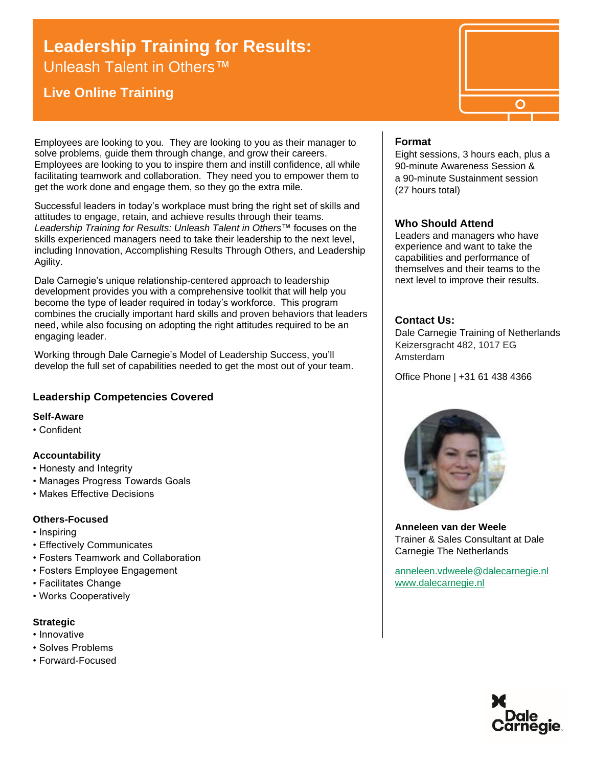# **Leadership Training for Results:**

Unleash Talent in Others<sup>™</sup>

# **Live Online Training**

Employees are looking to you. They are looking to you as their manager to solve problems, guide them through change, and grow their careers. Employees are looking to you to inspire them and instill confidence, all while facilitating teamwork and collaboration. They need you to empower them to get the work done and engage them, so they go the extra mile.

Successful leaders in today's workplace must bring the right set of skills and attitudes to engage, retain, and achieve results through their teams. *Leadership Training for Results: Unleash Talent in Others*™ focuses on the skills experienced managers need to take their leadership to the next level, including Innovation, Accomplishing Results Through Others, and Leadership Agility.

Dale Carnegie's unique relationship-centered approach to leadership development provides you with a comprehensive toolkit that will help you become the type of leader required in today's workforce. This program combines the crucially important hard skills and proven behaviors that leaders need, while also focusing on adopting the right attitudes required to be an engaging leader.

Working through Dale Carnegie's Model of Leadership Success, you'll develop the full set of capabilities needed to get the most out of your team.

# **Leadership Competencies Covered**

#### **Self-Aware**

• Confident

## **Accountability**

- Honesty and Integrity
- Manages Progress Towards Goals
- Makes Effective Decisions

#### **Others-Focused**

- Inspiring
- Effectively Communicates
- Fosters Teamwork and Collaboration
- Fosters Employee Engagement
- Facilitates Change
- Works Cooperatively

#### **Strategic**

- Innovative
- Solves Problems
- Forward-Focused

## **Format**

Eight sessions, 3 hours each, plus a 90-minute Awareness Session & a 90-minute Sustainment session (27 hours total)

#### **Who Should Attend**

Leaders and managers who have experience and want to take the capabilities and performance of themselves and their teams to the next level to improve their results.

## **Contact Us:**

Dale Carnegie Training of Netherlands Keizersgracht 482, 1017 EG Amsterdam

Office Phone | +31 61 438 4366



**Anneleen van der Weele** Trainer & Sales Consultant at Dale Carnegie The Netherlands

[anneleen.vdweele@dalecarnegie.nl](mailto:anneleen.vdweele@dalecarnegie.nl?subject=Please%20fill%20in%20the%20subject%20field) [www.dalecarnegie.nl](http://www.dalecarnegie.nl/)